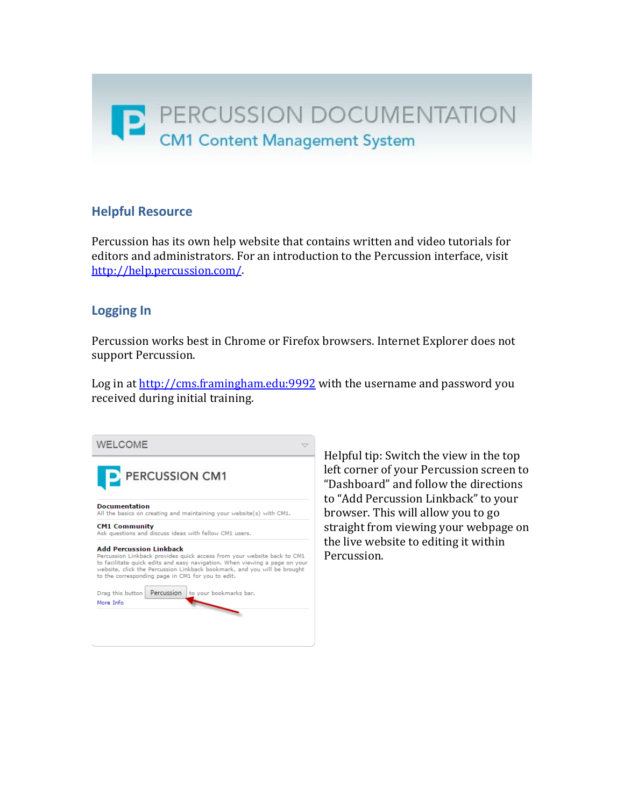# **Helpful Resource**

Percussion has its own help website that contains written and video tutorials for editors and administrators. For an introduction to the Percussion interface, visit [http://help.percussion.com/.](http://help.percussion.com/) 

## **Logging In**

Percussion works best in Chrome or Firefox browsers. Internet Explorer does not support Percussion.

Log in a[t http://cms.framingham.edu:9992](http://cms.framingham.edu:9992/) with the username and password you received during initial training.



Helpful tip: Switch the view in the top left corner of your Percussion screen to "Dashboard" and follow the directions to "Add Percussion Linkback" to your browser. This will allow you to go straight from viewing your webpage on the live website to editing it within Percussion.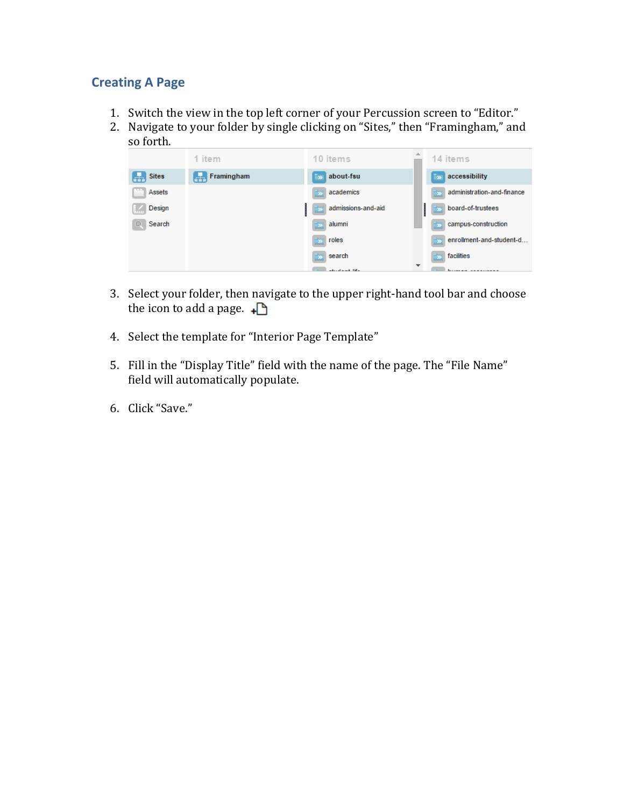## **Creating A Page**

- 1. Switch the view in the top left corner of your Percussion screen to "Editor."
- 2. Navigate to your folder by single clicking on "Sites," then "Framingham," and so forth.

|                   | 1 item              | 10 items                | 14 items                                         |
|-------------------|---------------------|-------------------------|--------------------------------------------------|
| <b>Sites</b><br>H | $F_{TT}$ Framingham | about-fsu<br><b>SA</b>  | $\rightarrow$ accessibility                      |
| Assets            |                     | $\rightarrow$ academics | $\mathbb{R}_{\geq 0}$ administration-and-finance |
| Design<br>w       |                     | admissions-and-aid      | board-of-trustees                                |
| Search<br>Q.      |                     | $\frac{1}{2}$ alumni    | s campus-construction                            |
|                   |                     | $\rightarrow$ roles     | $\mathbb{R}_{\geq 0}$ enrollment-and-student-d   |
|                   |                     | $\rightarrow$ search    | facilities                                       |
|                   |                     | advertising their       | $\overline{\phantom{a}}$                         |

- 3. Select your folder, then navigate to the upper right-hand tool bar and choose the icon to add a page.  $\Box$
- 4. Select the template for "Interior Page Template"
- 5. Fill in the "Display Title" field with the name of the page. The "File Name" field will automatically populate.
- 6. Click "Save."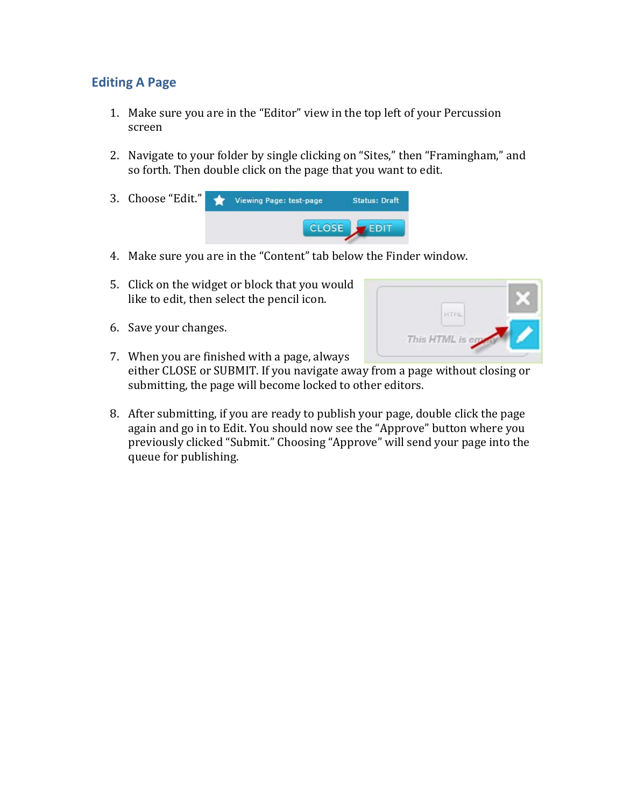## **Editing A Page**

- 1. Make sure you are in the "Editor" view in the top left of your Percussion screen
- 2. Navigate to your folder by single clicking on "Sites," then "Framingham," and so forth. Then double click on the page that you want to edit.
- 3. Choose "Edit." Viewing Page: test-page **Status: Draft** CLOSE  $FEDIT$
- 4. Make sure you are in the "Content" tab below the Finder window.
- 5. Click on the widget or block that you would like to edit, then select the pencil icon.
- 6. Save your changes.



- 7. When you are finished with a page, always either CLOSE or SUBMIT. If you navigate away from a page without closing or submitting, the page will become locked to other editors.
- 8. After submitting, if you are ready to publish your page, double click the page again and go in to Edit. You should now see the "Approve" button where you previously clicked "Submit." Choosing "Approve" will send your page into the queue for publishing.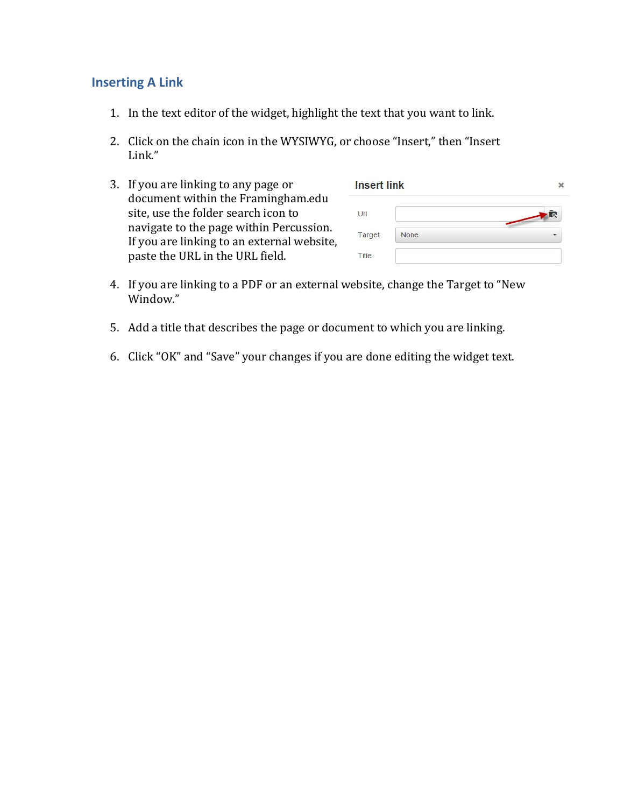#### **Inserting A Link**

- 1. In the text editor of the widget, highlight the text that you want to link.
- 2. Click on the chain icon in the WYSIWYG, or choose "Insert," then "Insert Link."
- 3. If you are linking to any page or document within the Framingham.edu site, use the folder search icon to navigate to the page within Percussion. If you are linking to an external website, paste the URL in the URL field.

| <b>Insert link</b> |      |           |
|--------------------|------|-----------|
| Url                |      | $\bullet$ |
| Target             | None |           |
| Title              |      |           |

- 4. If you are linking to a PDF or an external website, change the Target to "New Window."
- 5. Add a title that describes the page or document to which you are linking.
- 6. Click "OK" and "Save" your changes if you are done editing the widget text.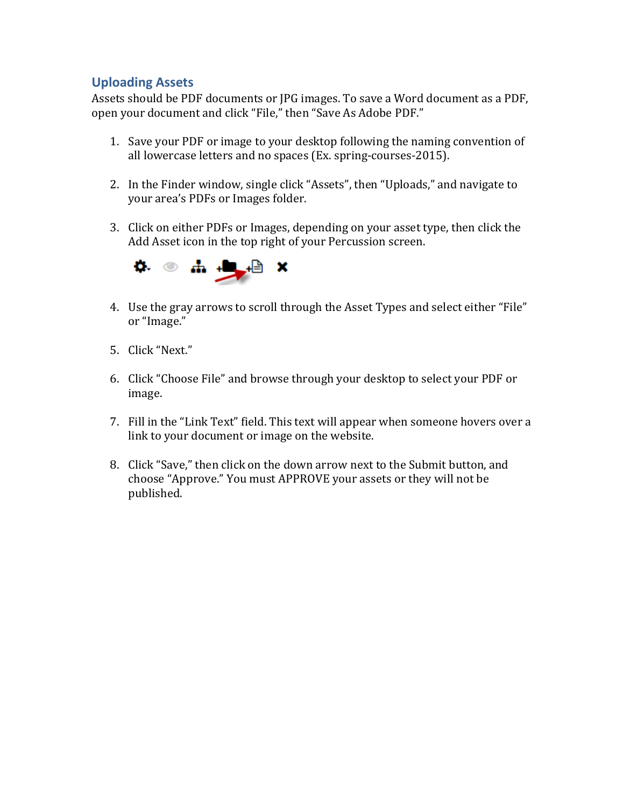#### **Uploading Assets**

Assets should be PDF documents or JPG images. To save a Word document as a PDF, open your document and click "File," then "Save As Adobe PDF."

- 1. Save your PDF or image to your desktop following the naming convention of all lowercase letters and no spaces (Ex. spring-courses-2015).
- 2. In the Finder window, single click "Assets", then "Uploads," and navigate to your area's PDFs or Images folder.
- 3. Click on either PDFs or Images, depending on your asset type, then click the Add Asset icon in the top right of your Percussion screen.



- 4. Use the gray arrows to scroll through the Asset Types and select either "File" or "Image."
- 5. Click "Next."
- 6. Click "Choose File" and browse through your desktop to select your PDF or image.
- 7. Fill in the "Link Text" field. This text will appear when someone hovers over a link to your document or image on the website.
- 8. Click "Save," then click on the down arrow next to the Submit button, and choose "Approve." You must APPROVE your assets or they will not be published.